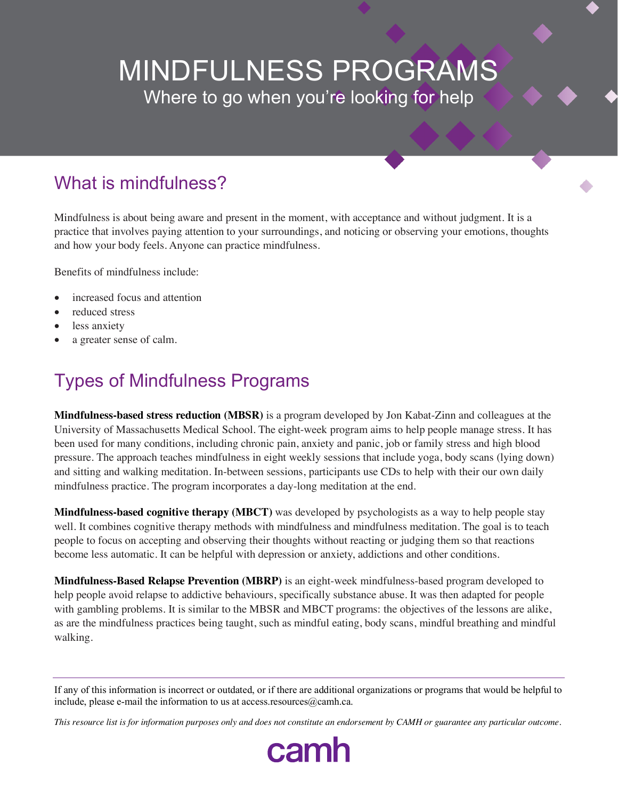# MINDFULNESS PROGRAMS Where to go when you're looking for help

## What is mindfulness?

Mindfulness is about being aware and present in the moment, with acceptance and without judgment. It is a practice that involves paying attention to your surroundings, and noticing or observing your emotions, thoughts and how your body feels. Anyone can practice mindfulness.

Benefits of mindfulness include:

- increased focus and attention
- reduced stress
- less anxiety
- a greater sense of calm.

## Types of Mindfulness Programs

**Mindfulness-based stress reduction (MBSR)** is a program developed by Jon Kabat-Zinn and colleagues at the University of Massachusetts Medical School. The eight-week program aims to help people manage stress. It has been used for many conditions, including chronic pain, anxiety and panic, job or family stress and high blood pressure. The approach teaches mindfulness in eight weekly sessions that include yoga, body scans (lying down) and sitting and walking meditation. In-between sessions, participants use CDs to help with their our own daily mindfulness practice. The program incorporates a day-long meditation at the end.

**Mindfulness-based cognitive therapy (MBCT)** was developed by psychologists as a way to help people stay well. It combines cognitive therapy methods with mindfulness and mindfulness meditation. The goal is to teach people to focus on accepting and observing their thoughts without reacting or judging them so that reactions become less automatic. It can be helpful with depression or anxiety, addictions and other conditions.

**Mindfulness-Based Relapse Prevention (MBRP)** is an eight-week mindfulness-based program developed to help people avoid relapse to addictive behaviours, specifically substance abuse. It was then adapted for people with gambling problems. It is similar to the MBSR and MBCT programs: the objectives of the lessons are alike, as are the mindfulness practices being taught, such as mindful eating, body scans, mindful breathing and mindful walking.

*This resource list is for information purposes only and does not constitute an endorsement by CAMH or guarantee any particular outcome.*

camh

If any of this information is incorrect or outdated, or if there are additional organizations or programs that would be helpful to include, please e-mail the information to us at access.resources@camh.ca.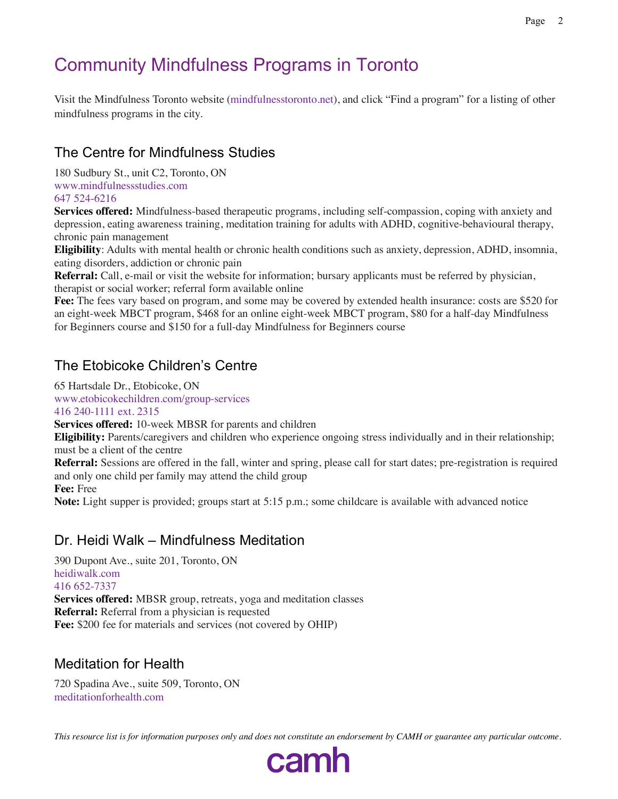## Community Mindfulness Programs in Toronto

Visit the Mindfulness Toronto website (mindfulnesstoronto.net), and click "Find a program" for a listing of other mindfulness programs in the city.

## The Centre for Mindfulness Studies

180 Sudbury St., unit C2, Toronto, ON www.mindfulnessstudies.com 647 524-6216

**Services offered:** Mindfulness-based therapeutic programs, including self-compassion, coping with anxiety and depression, eating awareness training, meditation training for adults with ADHD, cognitive-behavioural therapy, chronic pain management

**Eligibility**: Adults with mental health or chronic health conditions such as anxiety, depression, ADHD, insomnia, eating disorders, addiction or chronic pain

**Referral:** Call, e-mail or visit the website for information; bursary applicants must be referred by physician, therapist or social worker; referral form available online

**Fee:** The fees vary based on program, and some may be covered by extended health insurance: costs are \$520 for an eight-week MBCT program, \$468 for an online eight-week MBCT program, \$80 for a half-day Mindfulness for Beginners course and \$150 for a full-day Mindfulness for Beginners course

## The Etobicoke Children's Centre

65 Hartsdale Dr., Etobicoke, ON

www.etobicokechildren.com/group-services

416 240-1111 ext. 2315

**Services offered:** 10-week MBSR for parents and children

**Eligibility:** Parents/caregivers and children who experience ongoing stress individually and in their relationship; must be a client of the centre

**Referral:** Sessions are offered in the fall, winter and spring, please call for start dates; pre-registration is required and only one child per family may attend the child group

**Fee:** Free

**Note:** Light supper is provided; groups start at 5:15 p.m.; some childcare is available with advanced notice

#### Dr. Heidi Walk – Mindfulness Meditation

390 Dupont Ave., suite 201, Toronto, ON heidiwalk.com 416 652-7337 **Services offered:** MBSR group, retreats, yoga and meditation classes **Referral:** Referral from a physician is requested Fee: \$200 fee for materials and services (not covered by OHIP)

#### Meditation for Health

720 Spadina Ave., suite 509, Toronto, ON meditationforhealth.com

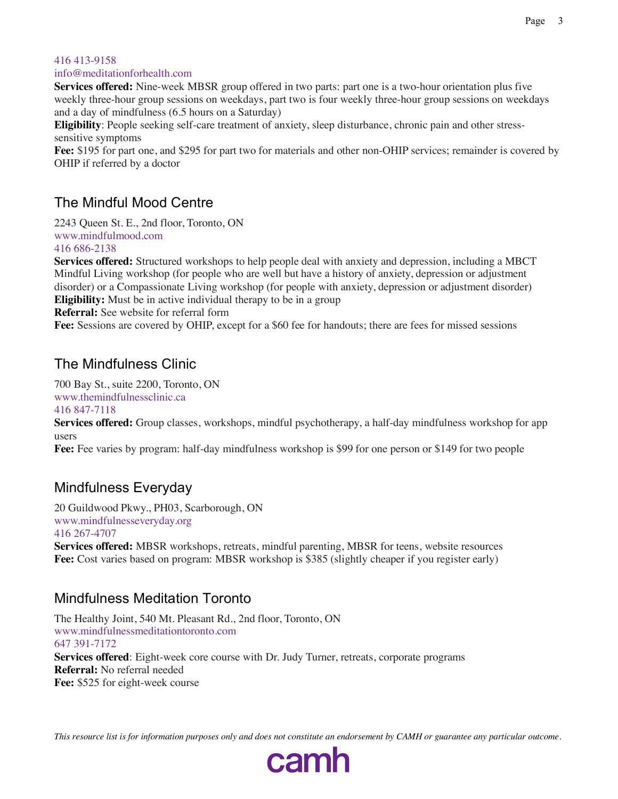#### 416 413-9158

info@meditationforhealth.com

**Services offered:** Nine-week MBSR group offered in two parts: part one is a two-hour orientation plus five weekly three-hour group sessions on weekdays, part two is four weekly three-hour group sessions on weekdays and a day of mindfulness (6.5 hours on a Saturday)

**Eligibility**: People seeking self-care treatment of anxiety, sleep disturbance, chronic pain and other stresssensitive symptoms

**Fee:** \$195 for part one, and \$295 for part two for materials and other non-OHIP services; remainder is covered by OHIP if referred by a doctor

### The Mindful Mood Centre

2243 Queen St. E., 2nd floor, Toronto, ON www.mindfulmood.com 416 686-2138

**Services offered:** Structured workshops to help people deal with anxiety and depression, including a MBCT Mindful Living workshop (for people who are well but have a history of anxiety, depression or adjustment disorder) or a Compassionate Living workshop (for people with anxiety, depression or adjustment disorder) **Eligibility:** Must be in active individual therapy to be in a group **Referral:** See website for referral form

**Fee:** Sessions are covered by OHIP, except for a \$60 fee for handouts; there are fees for missed sessions

#### The Mindfulness Clinic

700 Bay St., suite 2200, Toronto, ON www.themindfulnessclinic.ca 416 847-7118

**Services offered:** Group classes, workshops, mindful psychotherapy, a half-day mindfulness workshop for app users

**Fee:** Fee varies by program: half-day mindfulness workshop is \$99 for one person or \$149 for two people

## Mindfulness Everyday

20 Guildwood Pkwy., PH03, Scarborough, ON www.mindfulnesseveryday.org 416 267-4707

**Services offered:** MBSR workshops, retreats, mindful parenting, MBSR for teens, website resources Fee: Cost varies based on program: MBSR workshop is \$385 (slightly cheaper if you register early)

#### Mindfulness Meditation Toronto

The Healthy Joint, 540 Mt. Pleasant Rd., 2nd floor, Toronto, ON www.mindfulnessmeditationtoronto.com 647 391-7172 **Services offered**: Eight-week core course with Dr. Judy Turner, retreats, corporate programs **Referral:** No referral needed **Fee:** \$525 for eight-week course



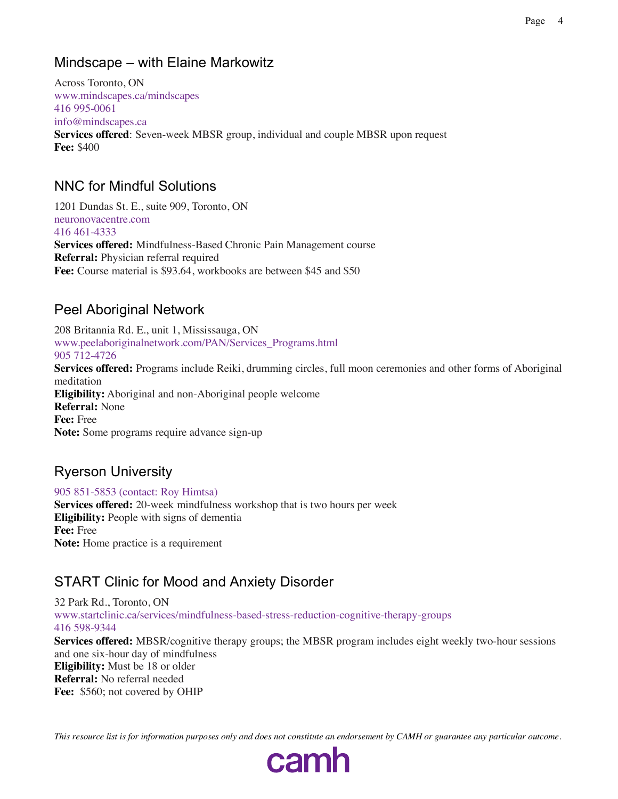## Mindscape – with Elaine Markowitz

Across Toronto, ON www.mindscapes.ca/mindscapes 416 995-0061 info@mindscapes.ca **Services offered**: Seven-week MBSR group, individual and couple MBSR upon request **Fee:** \$400

### NNC for Mindful Solutions

1201 Dundas St. E., suite 909, Toronto, ON neuronovacentre.com 416 461-4333 **Services offered:** Mindfulness-Based Chronic Pain Management course **Referral:** Physician referral required **Fee:** Course material is \$93.64, workbooks are between \$45 and \$50

## Peel Aboriginal Network

208 Britannia Rd. E., unit 1, Mississauga, ON www.peelaboriginalnetwork.com/PAN/Services\_Programs.html 905 712-4726 **Services offered:** Programs include Reiki, drumming circles, full moon ceremonies and other forms of Aboriginal meditation **Eligibility:** Aboriginal and non-Aboriginal people welcome **Referral:** None **Fee:** Free **Note:** Some programs require advance sign-up

## Ryerson University

905 851-5853 (contact: Roy Himtsa) **Services offered:** 20-week mindfulness workshop that is two hours per week **Eligibility:** People with signs of dementia **Fee:** Free **Note:** Home practice is a requirement

## START Clinic for Mood and Anxiety Disorder

32 Park Rd., Toronto, ON www.startclinic.ca/services/mindfulness-based-stress-reduction-cognitive-therapy-groups 416 598-9344 **Services offered:** MBSR/cognitive therapy groups; the MBSR program includes eight weekly two-hour sessions and one six-hour day of mindfulness **Eligibility:** Must be 18 or older **Referral:** No referral needed **Fee:** \$560; not covered by OHIP

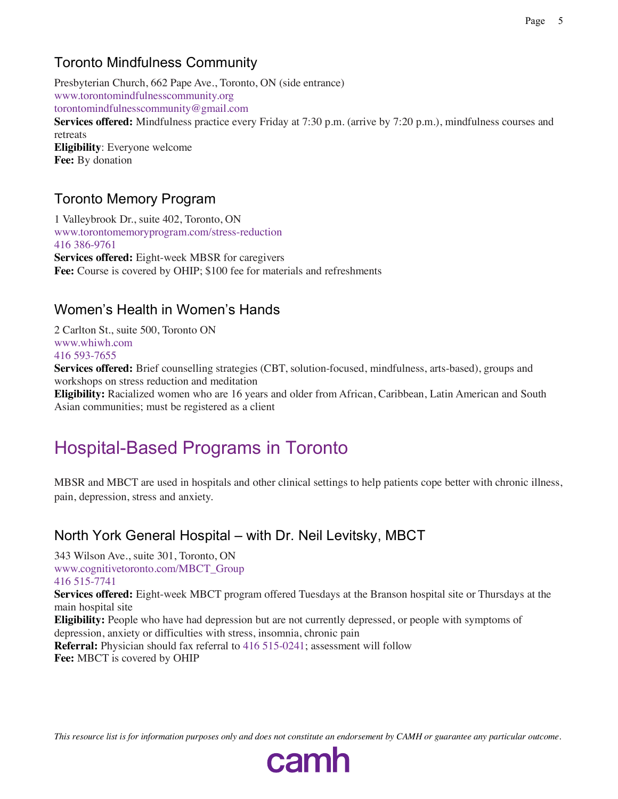### Toronto Mindfulness Community

Presbyterian Church, 662 Pape Ave., Toronto, ON (side entrance) www.torontomindfulnesscommunity.org torontomindfulnesscommunity@gmail.com **Services offered:** Mindfulness practice every Friday at 7:30 p.m. (arrive by 7:20 p.m.), mindfulness courses and retreats **Eligibility**: Everyone welcome **Fee:** By donation

#### Toronto Memory Program

1 Valleybrook Dr., suite 402, Toronto, ON www.torontomemoryprogram.com/stress-reduction 416 386-9761 **Services offered:** Eight-week MBSR for caregivers **Fee:** Course is covered by OHIP; \$100 fee for materials and refreshments

### Women's Health in Women's Hands

2 Carlton St., suite 500, Toronto ON www.whiwh.com 416 593-7655

**Services offered:** Brief counselling strategies (CBT, solution-focused, mindfulness, arts-based), groups and workshops on stress reduction and meditation

**Eligibility:** Racialized women who are 16 years and older from African, Caribbean, Latin American and South Asian communities; must be registered as a client

## Hospital-Based Programs in Toronto

MBSR and MBCT are used in hospitals and other clinical settings to help patients cope better with chronic illness, pain, depression, stress and anxiety.

#### North York General Hospital – with Dr. Neil Levitsky, MBCT

343 Wilson Ave., suite 301, Toronto, ON www.cognitivetoronto.com/MBCT\_Group 416 515-7741

**Services offered:** Eight-week MBCT program offered Tuesdays at the Branson hospital site or Thursdays at the main hospital site

**Eligibility:** People who have had depression but are not currently depressed, or people with symptoms of depression, anxiety or difficulties with stress, insomnia, chronic pain

**Referral:** Physician should fax referral to 416 515-0241; assessment will follow **Fee:** MBCT is covered by OHIP

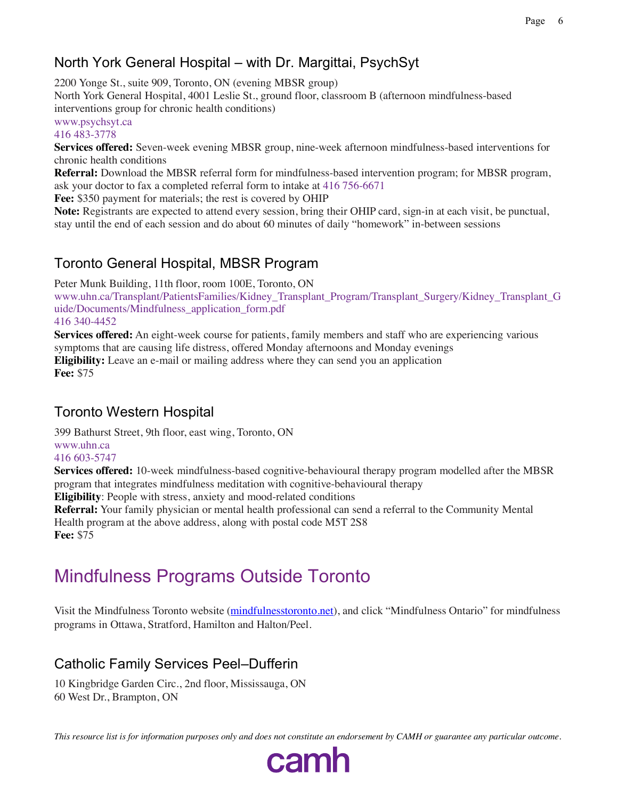## North York General Hospital – with Dr. Margittai, PsychSyt

2200 Yonge St., suite 909, Toronto, ON (evening MBSR group)

North York General Hospital, 4001 Leslie St., ground floor, classroom B (afternoon mindfulness-based interventions group for chronic health conditions)

www.psychsyt.ca 416 483-3778

**Services offered:** Seven-week evening MBSR group, nine-week afternoon mindfulness-based interventions for chronic health conditions

**Referral:** Download the MBSR referral form for mindfulness-based intervention program; for MBSR program, ask your doctor to fax a completed referral form to intake at 416 756-6671

**Fee:** \$350 payment for materials; the rest is covered by OHIP

**Note:** Registrants are expected to attend every session, bring their OHIP card, sign-in at each visit, be punctual, stay until the end of each session and do about 60 minutes of daily "homework" in-between sessions

## Toronto General Hospital, MBSR Program

Peter Munk Building, 11th floor, room 100E, Toronto, ON www.uhn.ca/Transplant/PatientsFamilies/Kidney\_Transplant\_Program/Transplant\_Surgery/Kidney\_Transplant\_G uide/Documents/Mindfulness\_application\_form.pdf 416 340-4452

**Services offered:** An eight-week course for patients, family members and staff who are experiencing various symptoms that are causing life distress, offered Monday afternoons and Monday evenings **Eligibility:** Leave an e-mail or mailing address where they can send you an application **Fee:** \$75

## Toronto Western Hospital

399 Bathurst Street, 9th floor, east wing, Toronto, ON

## www.uhn.ca

416 603-5747

**Services offered:** 10-week mindfulness-based cognitive-behavioural therapy program modelled after the MBSR program that integrates mindfulness meditation with cognitive-behavioural therapy

**Eligibility**: People with stress, anxiety and mood-related conditions

**Referral:** Your family physician or mental health professional can send a referral to the Community Mental Health program at the above address, along with postal code M5T 2S8 **Fee:** \$75

## Mindfulness Programs Outside Toronto

Visit the Mindfulness Toronto website (mindfulnesstoronto.net), and click "Mindfulness Ontario" for mindfulness programs in Ottawa, Stratford, Hamilton and Halton/Peel.

## Catholic Family Services Peel–Dufferin

10 Kingbridge Garden Circ., 2nd floor, Mississauga, ON 60 West Dr., Brampton, ON